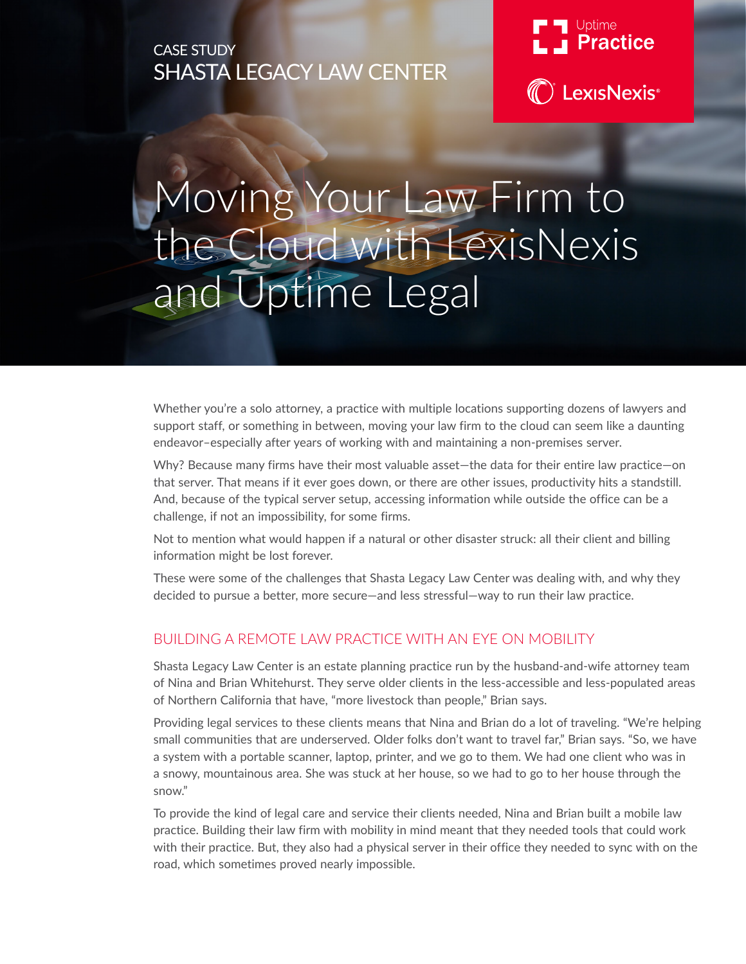# CASE STUDY SHASTA LEGACY LAW CENTER



**C** LexisNexis<sup>®</sup>

# Moving Your Law Firm to the Cloud with LexisNexis and Uptime Legal

Whether you're a solo attorney, a practice with multiple locations supporting dozens of lawyers and support staff, or something in between, moving your law firm to the cloud can seem like a daunting endeavor–especially after years of working with and maintaining a non-premises server.

Why? Because many firms have their most valuable asset—the data for their entire law practice—on that server. That means if it ever goes down, or there are other issues, productivity hits a standstill. And, because of the typical server setup, accessing information while outside the office can be a challenge, if not an impossibility, for some firms.

Not to mention what would happen if a natural or other disaster struck: all their client and billing information might be lost forever.

These were some of the challenges that Shasta Legacy Law Center was dealing with, and why they decided to pursue a better, more secure—and less stressful—way to run their law practice.

### BUILDING A REMOTE LAW PRACTICE WITH AN EYE ON MOBILITY

Shasta Legacy Law Center is an estate planning practice run by the husband-and-wife attorney team of Nina and Brian Whitehurst. They serve older clients in the less-accessible and less-populated areas of Northern California that have, "more livestock than people," Brian says.

Providing legal services to these clients means that Nina and Brian do a lot of traveling. "We're helping small communities that are underserved. Older folks don't want to travel far," Brian says. "So, we have a system with a portable scanner, laptop, printer, and we go to them. We had one client who was in a snowy, mountainous area. She was stuck at her house, so we had to go to her house through the snow."

To provide the kind of legal care and service their clients needed, Nina and Brian built a mobile law practice. Building their law firm with mobility in mind meant that they needed tools that could work with their practice. But, they also had a physical server in their office they needed to sync with on the road, which sometimes proved nearly impossible.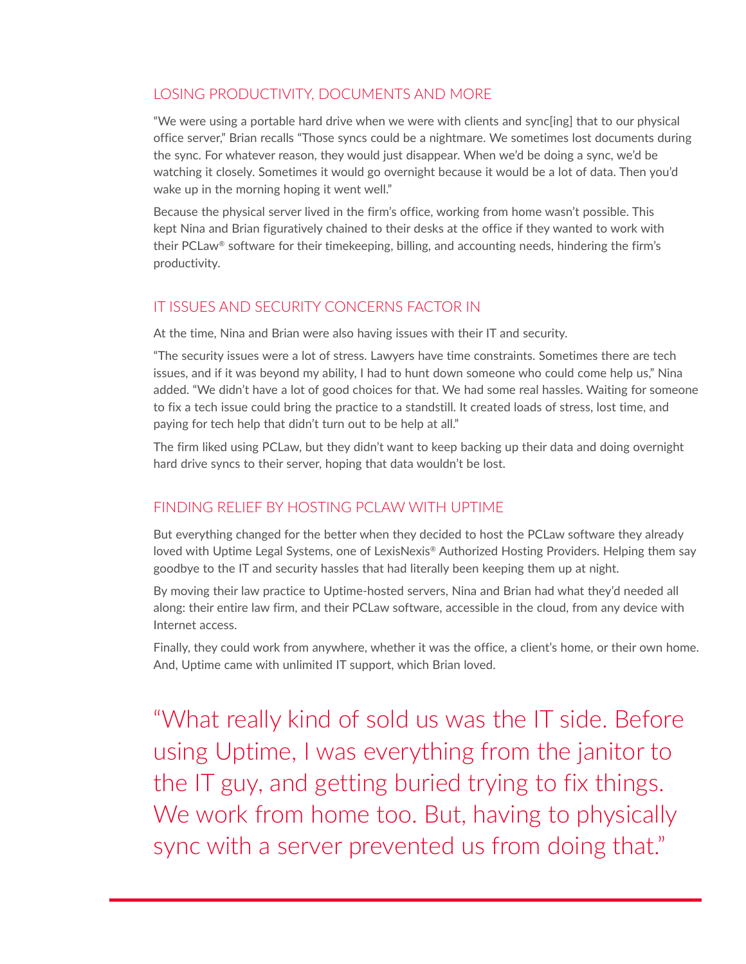## LOSING PRODUCTIVITY, DOCUMENTS AND MORE

"We were using a portable hard drive when we were with clients and sync[ing] that to our physical office server," Brian recalls "Those syncs could be a nightmare. We sometimes lost documents during the sync. For whatever reason, they would just disappear. When we'd be doing a sync, we'd be watching it closely. Sometimes it would go overnight because it would be a lot of data. Then you'd wake up in the morning hoping it went well."

Because the physical server lived in the firm's office, working from home wasn't possible. This kept Nina and Brian figuratively chained to their desks at the office if they wanted to work with their PCLaw® software for their timekeeping, billing, and accounting needs, hindering the firm's productivity.

### IT ISSUES AND SECURITY CONCERNS FACTOR IN

At the time, Nina and Brian were also having issues with their IT and security.

"The security issues were a lot of stress. Lawyers have time constraints. Sometimes there are tech issues, and if it was beyond my ability, I had to hunt down someone who could come help us," Nina added. "We didn't have a lot of good choices for that. We had some real hassles. Waiting for someone to fix a tech issue could bring the practice to a standstill. It created loads of stress, lost time, and paying for tech help that didn't turn out to be help at all."

The firm liked using PCLaw, but they didn't want to keep backing up their data and doing overnight hard drive syncs to their server, hoping that data wouldn't be lost.

### FINDING RELIEF BY HOSTING PCLAW WITH UPTIME

But everything changed for the better when they decided to host the PCLaw software they already loved with Uptime Legal Systems, one of LexisNexis® Authorized Hosting Providers. Helping them say goodbye to the IT and security hassles that had literally been keeping them up at night.

By moving their law practice to Uptime-hosted servers, Nina and Brian had what they'd needed all along: their entire law firm, and their PCLaw software, accessible in the cloud, from any device with Internet access.

Finally, they could work from anywhere, whether it was the office, a client's home, or their own home. And, Uptime came with unlimited IT support, which Brian loved.

"What really kind of sold us was the IT side. Before using Uptime, I was everything from the janitor to the IT guy, and getting buried trying to fix things. We work from home too. But, having to physically sync with a server prevented us from doing that."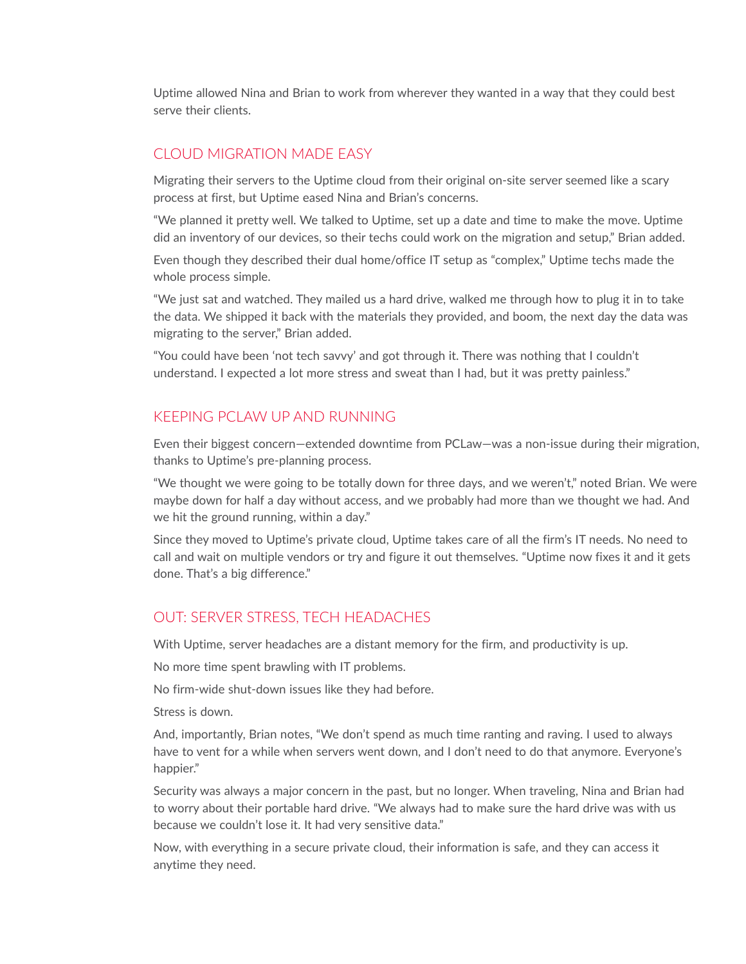Uptime allowed Nina and Brian to work from wherever they wanted in a way that they could best serve their clients.

#### CLOUD MIGRATION MADE EASY

Migrating their servers to the Uptime cloud from their original on-site server seemed like a scary process at first, but Uptime eased Nina and Brian's concerns.

"We planned it pretty well. We talked to Uptime, set up a date and time to make the move. Uptime did an inventory of our devices, so their techs could work on the migration and setup," Brian added.

Even though they described their dual home/office IT setup as "complex," Uptime techs made the whole process simple.

"We just sat and watched. They mailed us a hard drive, walked me through how to plug it in to take the data. We shipped it back with the materials they provided, and boom, the next day the data was migrating to the server," Brian added.

"You could have been 'not tech savvy' and got through it. There was nothing that I couldn't understand. I expected a lot more stress and sweat than I had, but it was pretty painless."

#### KEEPING PCLAW UP AND RUNNING

Even their biggest concern—extended downtime from PCLaw—was a non-issue during their migration, thanks to Uptime's pre-planning process.

"We thought we were going to be totally down for three days, and we weren't," noted Brian. We were maybe down for half a day without access, and we probably had more than we thought we had. And we hit the ground running, within a day."

Since they moved to Uptime's private cloud, Uptime takes care of all the firm's IT needs. No need to call and wait on multiple vendors or try and figure it out themselves. "Uptime now fixes it and it gets done. That's a big difference."

#### OUT: SERVER STRESS, TECH HEADACHES

With Uptime, server headaches are a distant memory for the firm, and productivity is up.

No more time spent brawling with IT problems.

No firm-wide shut-down issues like they had before.

Stress is down.

And, importantly, Brian notes, "We don't spend as much time ranting and raving. I used to always have to vent for a while when servers went down, and I don't need to do that anymore. Everyone's happier."

Security was always a major concern in the past, but no longer. When traveling, Nina and Brian had to worry about their portable hard drive. "We always had to make sure the hard drive was with us because we couldn't lose it. It had very sensitive data."

Now, with everything in a secure private cloud, their information is safe, and they can access it anytime they need.